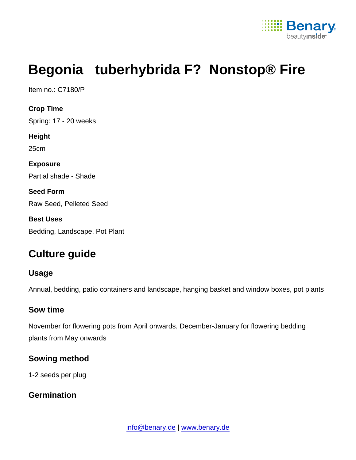

# Begonia tuberhybrida F? Nonstop® Fire

Item no.: C7180/P

Crop Time Spring: 17 - 20 weeks Height 25cm Exposure Partial shade - Shade Seed Form Raw Seed, Pelleted Seed Best Uses Bedding, Landscape, Pot Plant

## Culture guide

Usage

Annual, bedding, patio containers and landscape, hanging basket and window boxes, pot plants

#### Sow time

November for flowering pots from April onwards, December-January for flowering bedding plants from May onwards

Sowing method

1-2 seeds per plug

**Germination**